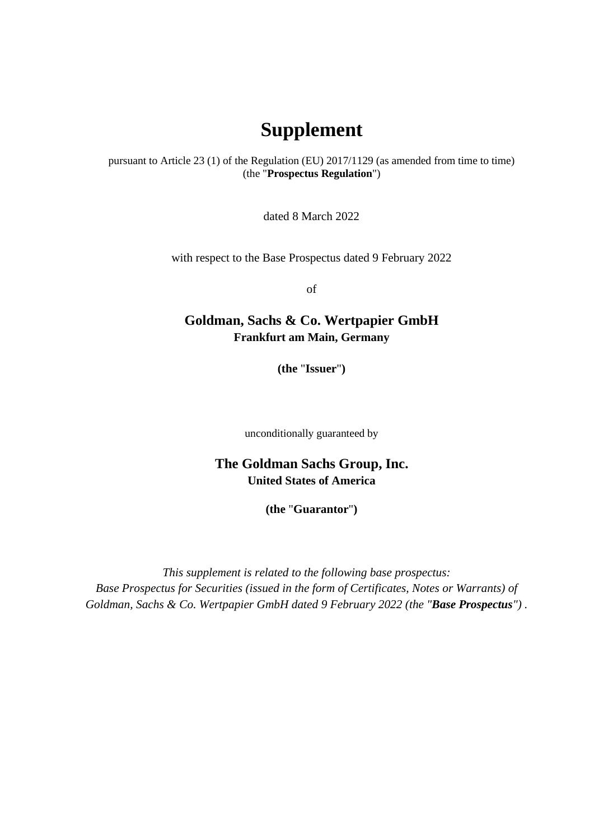## **Supplement**

pursuant to Article 23 (1) of the Regulation (EU) 2017/1129 (as amended from time to time) (the "**Prospectus Regulation**")

dated 8 March 2022

with respect to the Base Prospectus dated 9 February 2022

of

## **Goldman, Sachs & Co. Wertpapier GmbH Frankfurt am Main, Germany**

**(the** "**Issuer**"**)** 

unconditionally guaranteed by

## **The Goldman Sachs Group, Inc. United States of America**

**(the** "**Guarantor**"**)** 

*This supplement is related to the following base prospectus: Base Prospectus for Securities (issued in the form of Certificates, Notes or Warrants) of Goldman, Sachs & Co. Wertpapier GmbH dated 9 February 2022 (the "Base Prospectus") .*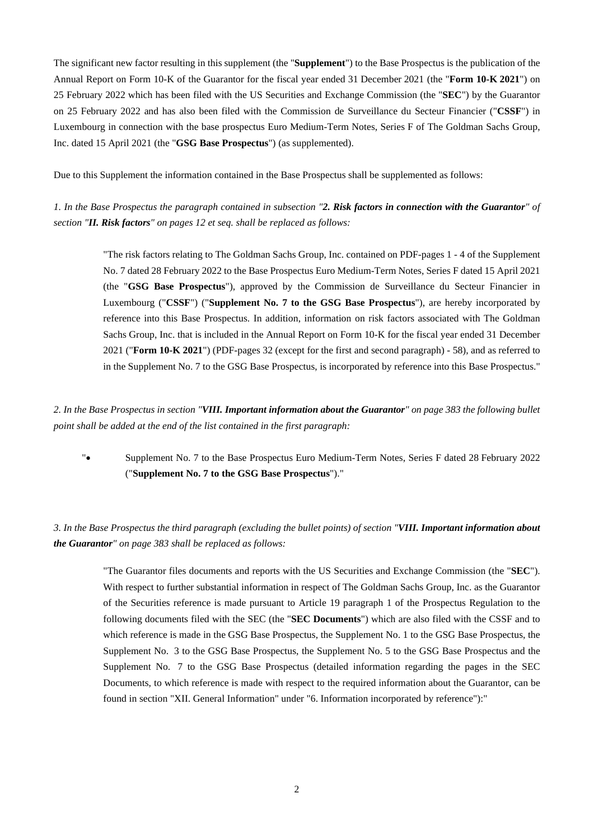The significant new factor resulting in this supplement (the "**Supplement**") to the Base Prospectus is the publication of the Annual Report on Form 10-K of the Guarantor for the fiscal year ended 31 December 2021 (the "**Form 10-K 2021**") on 25 February 2022 which has been filed with the US Securities and Exchange Commission (the "**SEC**") by the Guarantor on 25 February 2022 and has also been filed with the Commission de Surveillance du Secteur Financier ("**CSSF**") in Luxembourg in connection with the base prospectus Euro Medium-Term Notes, Series F of The Goldman Sachs Group, Inc. dated 15 April 2021 (the "**GSG Base Prospectus**") (as supplemented).

Due to this Supplement the information contained in the Base Prospectus shall be supplemented as follows:

*1. In the Base Prospectus the paragraph contained in subsection "2. Risk factors in connection with the Guarantor" of section "II. Risk factors" on pages 12 et seq. shall be replaced as follows:* 

> "The risk factors relating to The Goldman Sachs Group, Inc. contained on PDF-pages 1 - 4 of the Supplement No. 7 dated 28 February 2022 to the Base Prospectus Euro Medium-Term Notes, Series F dated 15 April 2021 (the "**GSG Base Prospectus**"), approved by the Commission de Surveillance du Secteur Financier in Luxembourg ("**CSSF**") ("**Supplement No. 7 to the GSG Base Prospectus**"), are hereby incorporated by reference into this Base Prospectus. In addition, information on risk factors associated with The Goldman Sachs Group, Inc. that is included in the Annual Report on Form 10-K for the fiscal year ended 31 December 2021 ("**Form 10-K 2021**") (PDF-pages 32 (except for the first and second paragraph) - 58), and as referred to in the Supplement No. 7 to the GSG Base Prospectus, is incorporated by reference into this Base Prospectus."

*2. In the Base Prospectus in section "VIII. Important information about the Guarantor" on page 383 the following bullet point shall be added at the end of the list contained in the first paragraph:* 

" Supplement No. 7 to the Base Prospectus Euro Medium-Term Notes, Series F dated 28 February 2022 ("**Supplement No. 7 to the GSG Base Prospectus**")."

## *3. In the Base Prospectus the third paragraph (excluding the bullet points) of section "VIII. Important information about the Guarantor" on page 383 shall be replaced as follows:*

"The Guarantor files documents and reports with the US Securities and Exchange Commission (the "**SEC**"). With respect to further substantial information in respect of The Goldman Sachs Group, Inc. as the Guarantor of the Securities reference is made pursuant to Article 19 paragraph 1 of the Prospectus Regulation to the following documents filed with the SEC (the "**SEC Documents**") which are also filed with the CSSF and to which reference is made in the GSG Base Prospectus, the Supplement No. 1 to the GSG Base Prospectus, the Supplement No. 3 to the GSG Base Prospectus, the Supplement No. 5 to the GSG Base Prospectus and the Supplement No. 7 to the GSG Base Prospectus (detailed information regarding the pages in the SEC Documents, to which reference is made with respect to the required information about the Guarantor, can be found in section "XII. General Information" under "6. Information incorporated by reference"):"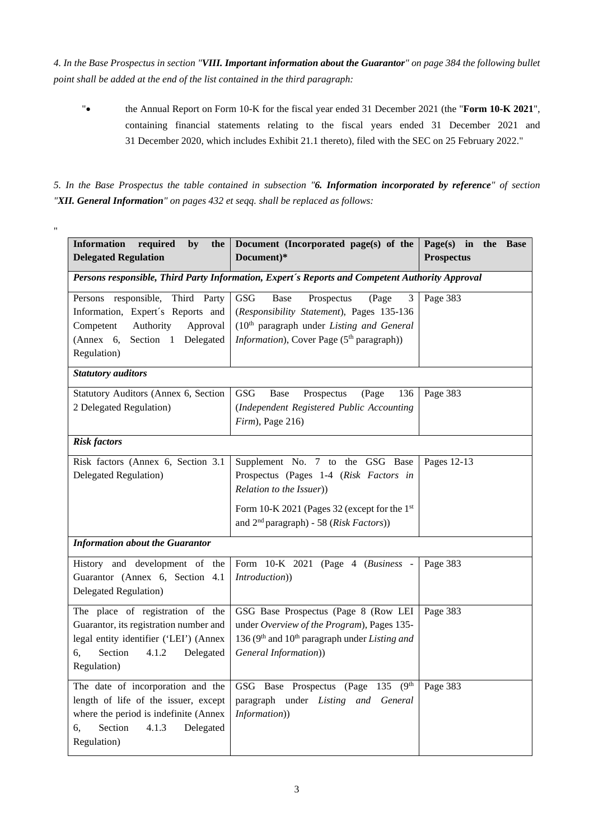*4. In the Base Prospectus in section "VIII. Important information about the Guarantor" on page 384 the following bullet point shall be added at the end of the list contained in the third paragraph:* 

" the Annual Report on Form 10-K for the fiscal year ended 31 December 2021 (the "**Form 10-K 2021**", containing financial statements relating to the fiscal years ended 31 December 2021 and 31 December 2020, which includes Exhibit 21.1 thereto), filed with the SEC on 25 February 2022."

*5. In the Base Prospectus the table contained in subsection "6. Information incorporated by reference" of section "XII. General Information" on pages 432 et seqq. shall be replaced as follows:* 

"

| <b>Information</b><br>required<br>by<br>the                                                     | Document (Incorporated page(s) of the                               | Page(s) in<br>the<br><b>Base</b> |
|-------------------------------------------------------------------------------------------------|---------------------------------------------------------------------|----------------------------------|
| <b>Delegated Regulation</b>                                                                     | Document)*                                                          | <b>Prospectus</b>                |
| Persons responsible, Third Party Information, Expert's Reports and Competent Authority Approval |                                                                     |                                  |
| Persons responsible,<br>Third Party                                                             | (Page<br>GSG<br>Base<br>Prospectus<br>3                             | Page 383                         |
| Information, Expert's Reports and                                                               | (Responsibility Statement), Pages 135-136                           |                                  |
| Competent<br>Authority<br>Approval                                                              | (10 <sup>th</sup> paragraph under Listing and General               |                                  |
| (Annex 6, )<br>Section 1 Delegated                                                              | Information), Cover Page (5 <sup>th</sup> paragraph))               |                                  |
| Regulation)                                                                                     |                                                                     |                                  |
| <b>Statutory auditors</b>                                                                       |                                                                     |                                  |
| Statutory Auditors (Annex 6, Section                                                            | GSG<br>Prospectus<br>(Page<br>136<br>Base                           | Page 383                         |
| 2 Delegated Regulation)                                                                         | (Independent Registered Public Accounting                           |                                  |
|                                                                                                 | $Firm$ , Page 216)                                                  |                                  |
| <b>Risk factors</b>                                                                             |                                                                     |                                  |
| Risk factors (Annex 6, Section 3.1)                                                             | Supplement No. 7 to the GSG Base                                    | Pages 12-13                      |
| Delegated Regulation)                                                                           | Prospectus (Pages 1-4 (Risk Factors in                              |                                  |
|                                                                                                 | Relation to the Issuer))                                            |                                  |
|                                                                                                 | Form 10-K 2021 (Pages 32 (except for the 1st                        |                                  |
|                                                                                                 | and 2 <sup>nd</sup> paragraph) - 58 (Risk Factors))                 |                                  |
|                                                                                                 |                                                                     |                                  |
| <b>Information about the Guarantor</b>                                                          |                                                                     |                                  |
| History and development of the                                                                  | Form 10-K 2021 (Page 4 (Business -                                  | Page 383                         |
| Guarantor (Annex 6, Section 4.1<br>Introduction))                                               |                                                                     |                                  |
| Delegated Regulation)                                                                           |                                                                     |                                  |
| The place of registration of the                                                                | GSG Base Prospectus (Page 8 (Row LEI                                | Page 383                         |
| Guarantor, its registration number and                                                          | under Overview of the Program), Pages 135-                          |                                  |
| legal entity identifier ('LEI') (Annex                                                          | 136 ( $9th$ and 10 <sup>th</sup> paragraph under <i>Listing and</i> |                                  |
| Section<br>4.1.2<br>6,<br>Delegated                                                             | General Information))                                               |                                  |
| Regulation)                                                                                     |                                                                     |                                  |
| The date of incorporation and the                                                               | (9 <sup>th</sup> )<br>GSG Base Prospectus (Page 135                 | Page 383                         |
| length of life of the issuer, except                                                            | paragraph under Listing and General                                 |                                  |
| where the period is indefinite (Annex<br>Information))                                          |                                                                     |                                  |
| Section<br>4.1.3<br>6,<br>Delegated                                                             |                                                                     |                                  |
| Regulation)                                                                                     |                                                                     |                                  |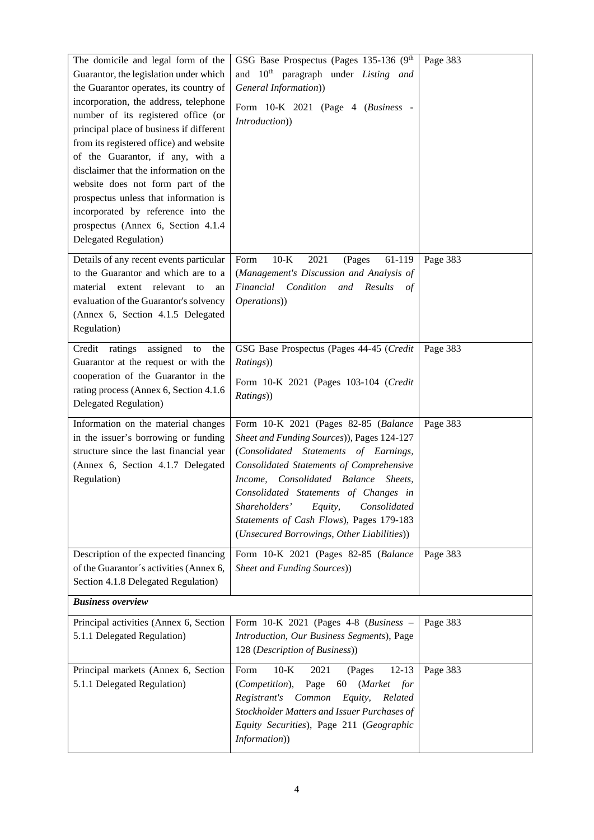| The domicile and legal form of the<br>Guarantor, the legislation under which<br>the Guarantor operates, its country of<br>incorporation, the address, telephone<br>number of its registered office (or<br>principal place of business if different<br>from its registered office) and website<br>of the Guarantor, if any, with a<br>disclaimer that the information on the<br>website does not form part of the<br>prospectus unless that information is<br>incorporated by reference into the<br>prospectus (Annex 6, Section 4.1.4)<br><b>Delegated Regulation</b> ) | GSG Base Prospectus (Pages 135-136 (9th<br>and 10 <sup>th</sup> paragraph under <i>Listing and</i><br>General Information))<br>Form 10-K 2021 (Page 4 (Business -<br>Introduction))                                                                                                                                                                                                               | Page 383 |  |
|-------------------------------------------------------------------------------------------------------------------------------------------------------------------------------------------------------------------------------------------------------------------------------------------------------------------------------------------------------------------------------------------------------------------------------------------------------------------------------------------------------------------------------------------------------------------------|---------------------------------------------------------------------------------------------------------------------------------------------------------------------------------------------------------------------------------------------------------------------------------------------------------------------------------------------------------------------------------------------------|----------|--|
| Details of any recent events particular<br>to the Guarantor and which are to a<br>material extent relevant<br>to<br>an<br>evaluation of the Guarantor's solvency<br>(Annex 6, Section 4.1.5 Delegated<br>Regulation)                                                                                                                                                                                                                                                                                                                                                    | $10-K$<br>2021<br>Form<br>61-119<br>(Pages<br>(Management's Discussion and Analysis of<br>Financial Condition<br>and<br>Results<br>of<br>Operations))                                                                                                                                                                                                                                             | Page 383 |  |
| Credit ratings<br>assigned<br>to<br>the<br>Guarantor at the request or with the<br>cooperation of the Guarantor in the<br>rating process (Annex 6, Section 4.1.6)<br><b>Delegated Regulation</b> )                                                                                                                                                                                                                                                                                                                                                                      | GSG Base Prospectus (Pages 44-45 (Credit<br>Ratings))<br>Form 10-K 2021 (Pages 103-104 (Credit<br>Ratings))                                                                                                                                                                                                                                                                                       | Page 383 |  |
| Information on the material changes<br>in the issuer's borrowing or funding<br>structure since the last financial year<br>(Annex 6, Section 4.1.7 Delegated<br>Regulation)                                                                                                                                                                                                                                                                                                                                                                                              | Form 10-K 2021 (Pages 82-85 (Balance<br>Sheet and Funding Sources)), Pages 124-127<br>(Consolidated Statements of Earnings,<br>Consolidated Statements of Comprehensive<br>Income, Consolidated Balance<br>Sheets,<br>Consolidated Statements of Changes in<br>Shareholders'<br>Consolidated<br>Equity,<br>Statements of Cash Flows), Pages 179-183<br>(Unsecured Borrowings, Other Liabilities)) | Page 383 |  |
| Description of the expected financing<br>of the Guarantor's activities (Annex 6,<br>Section 4.1.8 Delegated Regulation)                                                                                                                                                                                                                                                                                                                                                                                                                                                 | Form 10-K 2021 (Pages 82-85 (Balance<br>Sheet and Funding Sources))                                                                                                                                                                                                                                                                                                                               | Page 383 |  |
| <b>Business overview</b>                                                                                                                                                                                                                                                                                                                                                                                                                                                                                                                                                |                                                                                                                                                                                                                                                                                                                                                                                                   |          |  |
| Principal activities (Annex 6, Section<br>5.1.1 Delegated Regulation)                                                                                                                                                                                                                                                                                                                                                                                                                                                                                                   | Form $10-K$ 2021 (Pages 4-8 (Business -<br>Introduction, Our Business Segments), Page<br>128 (Description of Business))                                                                                                                                                                                                                                                                           | Page 383 |  |
| Principal markets (Annex 6, Section<br>5.1.1 Delegated Regulation)                                                                                                                                                                                                                                                                                                                                                                                                                                                                                                      | $12 - 13$<br>$10-K$<br>2021<br>Form<br>(Pages<br>(Competition),<br>Page<br>60<br>(Market<br>for<br>Registrant's<br>Equity,<br>Related<br>Common<br>Stockholder Matters and Issuer Purchases of<br>Equity Securities), Page 211 (Geographic<br>Information))                                                                                                                                       | Page 383 |  |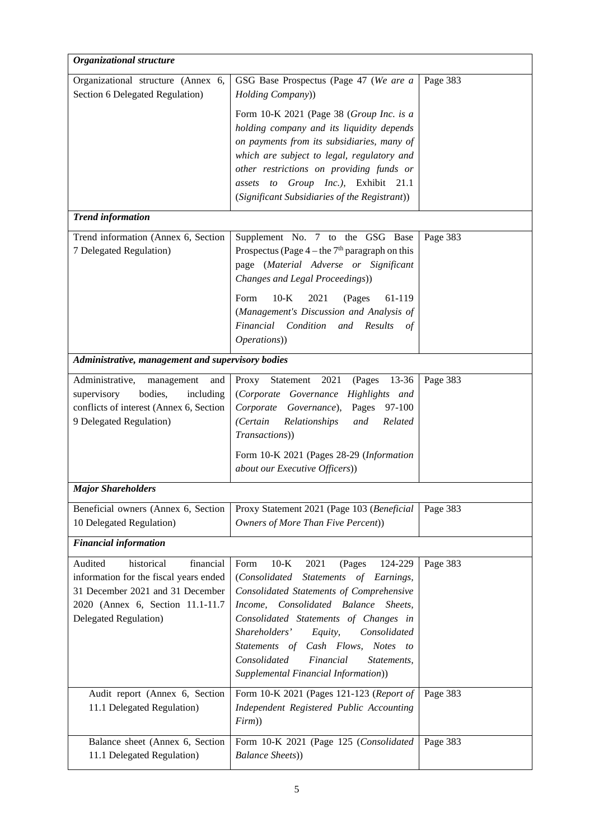| Organizational structure                                                                                                                                                       |                                                                                                                                                                                                                                                                                                                                                                                            |          |
|--------------------------------------------------------------------------------------------------------------------------------------------------------------------------------|--------------------------------------------------------------------------------------------------------------------------------------------------------------------------------------------------------------------------------------------------------------------------------------------------------------------------------------------------------------------------------------------|----------|
| Organizational structure (Annex 6,<br>Section 6 Delegated Regulation)                                                                                                          | GSG Base Prospectus (Page 47 (We are a<br>Holding Company))                                                                                                                                                                                                                                                                                                                                | Page 383 |
|                                                                                                                                                                                | Form 10-K 2021 (Page 38 (Group Inc. is a<br>holding company and its liquidity depends<br>on payments from its subsidiaries, many of<br>which are subject to legal, regulatory and<br>other restrictions on providing funds or<br>assets to Group Inc.), Exhibit 21.1<br>(Significant Subsidiaries of the Registrant))                                                                      |          |
| <b>Trend information</b>                                                                                                                                                       |                                                                                                                                                                                                                                                                                                                                                                                            |          |
| Trend information (Annex 6, Section<br>7 Delegated Regulation)                                                                                                                 | Supplement No. 7 to the GSG Base<br>Prospectus (Page $4$ – the $7th$ paragraph on this<br>page (Material Adverse or Significant<br>Changes and Legal Proceedings))<br>$10-K$<br>Form<br>2021<br>(Pages<br>61-119<br>(Management's Discussion and Analysis of<br>Financial Condition<br>and<br>Results<br>of<br>Operations))                                                                | Page 383 |
| Administrative, management and supervisory bodies                                                                                                                              |                                                                                                                                                                                                                                                                                                                                                                                            |          |
| Administrative,<br>management<br>and<br>bodies,<br>supervisory<br>including<br>conflicts of interest (Annex 6, Section<br>9 Delegated Regulation)                              | Statement<br>2021<br>Proxy<br>(Pages<br>13-36<br>(Corporate Governance Highlights and<br>Pages<br>97-100<br>Corporate Governance),<br>(Certain<br>Relationships<br>and<br>Related<br>Transactions))<br>Form 10-K 2021 (Pages 28-29 (Information<br>about our Executive Officers))                                                                                                          | Page 383 |
| <b>Major Shareholders</b>                                                                                                                                                      |                                                                                                                                                                                                                                                                                                                                                                                            |          |
| Beneficial owners (Annex 6, Section<br>10 Delegated Regulation)                                                                                                                | Proxy Statement 2021 (Page 103 (Beneficial<br>Owners of More Than Five Percent))                                                                                                                                                                                                                                                                                                           | Page 383 |
| <b>Financial information</b>                                                                                                                                                   |                                                                                                                                                                                                                                                                                                                                                                                            |          |
| Audited<br>historical<br>financial<br>information for the fiscal years ended<br>31 December 2021 and 31 December<br>2020 (Annex 6, Section 11.1-11.7)<br>Delegated Regulation) | $10-K$<br>2021<br>124-229<br>Form<br>(Pages<br>(Consolidated<br>Statements of Earnings,<br>Consolidated Statements of Comprehensive<br>Income, Consolidated Balance Sheets,<br>Consolidated Statements of Changes in<br>Shareholders'<br>Consolidated<br>Equity,<br>Statements of Cash Flows, Notes to<br>Consolidated<br>Financial<br>Statements,<br>Supplemental Financial Information)) | Page 383 |
| Audit report (Annex 6, Section<br>11.1 Delegated Regulation)                                                                                                                   | Form 10-K 2021 (Pages 121-123 (Report of<br>Independent Registered Public Accounting<br>Firm)                                                                                                                                                                                                                                                                                              | Page 383 |
| Balance sheet (Annex 6, Section<br>11.1 Delegated Regulation)                                                                                                                  | Form 10-K 2021 (Page 125 (Consolidated<br><b>Balance Sheets)</b>                                                                                                                                                                                                                                                                                                                           | Page 383 |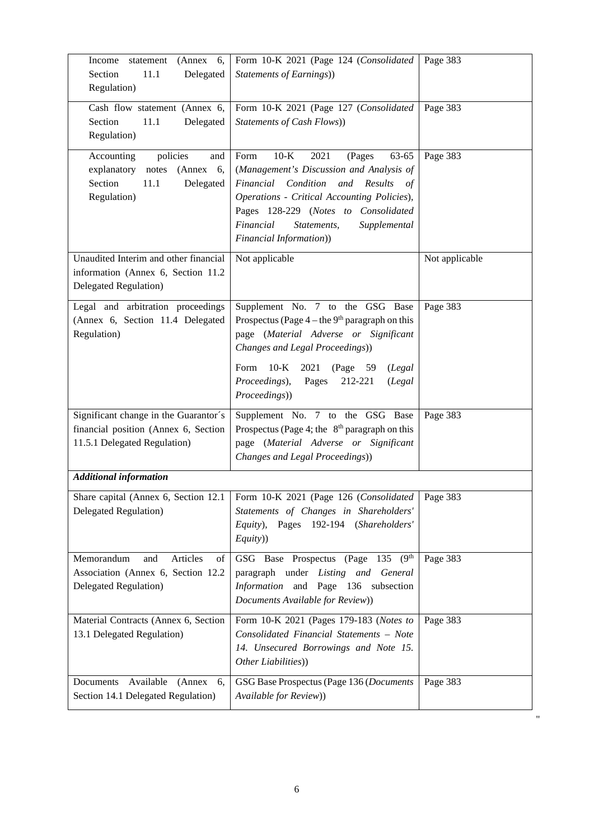| Income<br>(Annex 6,<br>statement<br>Delegated<br>Section<br>11.1<br>Regulation)                                | Form 10-K 2021 (Page 124 (Consolidated<br>Statements of Earnings))                                                                                                                                                                                                                                    | Page 383       |
|----------------------------------------------------------------------------------------------------------------|-------------------------------------------------------------------------------------------------------------------------------------------------------------------------------------------------------------------------------------------------------------------------------------------------------|----------------|
| Cash flow statement (Annex 6,<br>Section<br>11.1<br>Delegated<br>Regulation)                                   | Form 10-K 2021 (Page 127 (Consolidated<br>Statements of Cash Flows))                                                                                                                                                                                                                                  | Page 383       |
| policies<br>Accounting<br>and<br>notes (Annex 6,<br>explanatory<br>Section<br>11.1<br>Delegated<br>Regulation) | $10-K$<br>Form<br>2021<br>(Pages<br>63-65<br>(Management's Discussion and Analysis of<br>Financial<br>Condition<br>and<br>Results<br>οf<br>Operations - Critical Accounting Policies),<br>Pages 128-229 (Notes to Consolidated<br>Financial<br>Statements,<br>Supplemental<br>Financial Information)) | Page 383       |
| Unaudited Interim and other financial<br>information (Annex 6, Section 11.2)<br>Delegated Regulation)          | Not applicable                                                                                                                                                                                                                                                                                        | Not applicable |
| Legal and arbitration proceedings<br>(Annex 6, Section 11.4 Delegated<br>Regulation)                           | Supplement No. 7 to the GSG Base<br>Prospectus (Page $4$ – the 9 <sup>th</sup> paragraph on this<br>page (Material Adverse or Significant<br>Changes and Legal Proceedings))<br>Form                                                                                                                  | Page 383       |
|                                                                                                                | (Page 59)<br>$10\text{-K}$<br>2021<br>(Legal<br>Proceedings),<br>212-221<br>Pages<br>(Legal<br>Proceedings))                                                                                                                                                                                          |                |
| Significant change in the Guarantor's<br>financial position (Annex 6, Section<br>11.5.1 Delegated Regulation)  | Supplement No. 7 to the GSG Base<br>Prospectus (Page 4; the $8th$ paragraph on this<br>page (Material Adverse or Significant<br>Changes and Legal Proceedings))                                                                                                                                       | Page 383       |
| <b>Additional information</b>                                                                                  |                                                                                                                                                                                                                                                                                                       |                |
| Delegated Regulation)                                                                                          | Share capital (Annex 6, Section 12.1   Form 10-K 2021 (Page 126 (Consolidated   Page 383)<br>Statements of Changes in Shareholders'<br>Equity), Pages 192-194 (Shareholders'<br>Equity))                                                                                                              |                |
| Memorandum<br>Articles<br>and<br>of<br>Association (Annex 6, Section 12.2<br><b>Delegated Regulation</b> )     | GSG Base Prospectus (Page 135 (9th<br>paragraph under Listing and General<br>Information and Page 136 subsection<br>Documents Available for Review))                                                                                                                                                  | Page 383       |
| Material Contracts (Annex 6, Section<br>13.1 Delegated Regulation)                                             | Form 10-K 2021 (Pages 179-183 (Notes to<br>Consolidated Financial Statements - Note<br>14. Unsecured Borrowings and Note 15.<br>Other Liabilities))                                                                                                                                                   | Page 383       |
| Documents Available<br>(Annex<br>6,<br>Section 14.1 Delegated Regulation)                                      | GSG Base Prospectus (Page 136 (Documents<br>Available for Review))                                                                                                                                                                                                                                    | Page 383       |

"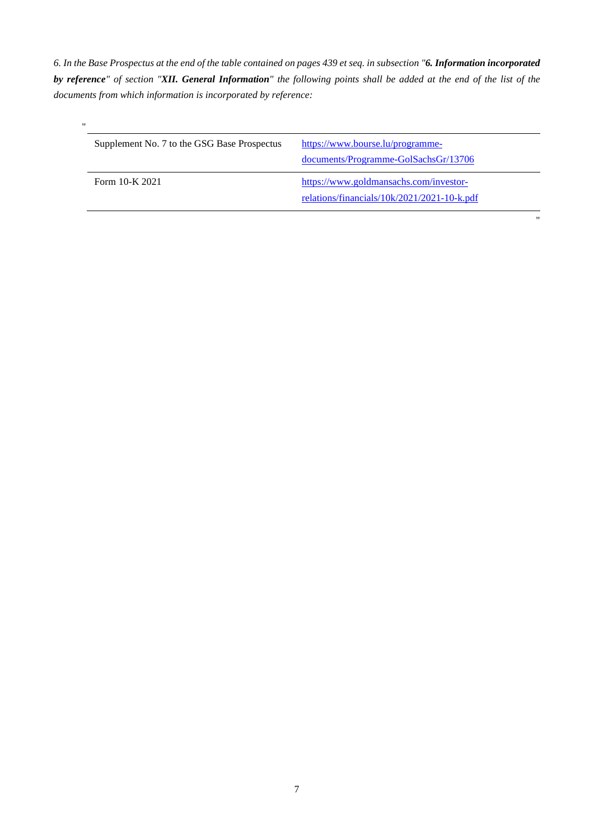*6. In the Base Prospectus at the end of the table contained on pages 439 et seq. in subsection "6. Information incorporated by reference" of section "XII. General Information" the following points shall be added at the end of the list of the documents from which information is incorporated by reference:* 

| $^{\prime\prime}$ |                                             |                                             |
|-------------------|---------------------------------------------|---------------------------------------------|
|                   | Supplement No. 7 to the GSG Base Prospectus | https://www.bourse.lu/programme-            |
|                   |                                             | documents/Programme-GolSachsGr/13706        |
|                   | Form 10-K 2021                              | https://www.goldmansachs.com/investor-      |
|                   |                                             | relations/financials/10k/2021/2021-10-k.pdf |

"